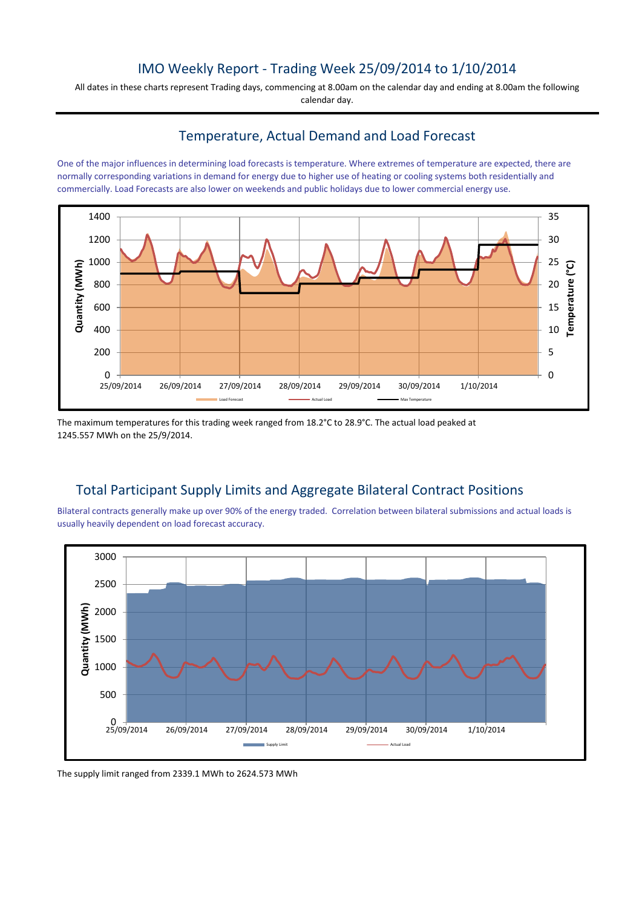# IMO Weekly Report - Trading Week 25/09/2014 to 1/10/2014

All dates in these charts represent Trading days, commencing at 8.00am on the calendar day and ending at 8.00am the following calendar day.

### Temperature, Actual Demand and Load Forecast

One of the major influences in determining load forecasts is temperature. Where extremes of temperature are expected, there are normally corresponding variations in demand for energy due to higher use of heating or cooling systems both residentially and commercially. Load Forecasts are also lower on weekends and public holidays due to lower commercial energy use.



The maximum temperatures for this trading week ranged from 18.2°C to 28.9°C. The actual load peaked at 1245.557 MWh on the 25/9/2014.

# Total Participant Supply Limits and Aggregate Bilateral Contract Positions

Bilateral contracts generally make up over 90% of the energy traded. Correlation between bilateral submissions and actual loads is usually heavily dependent on load forecast accuracy.



The supply limit ranged from 2339.1 MWh to 2624.573 MWh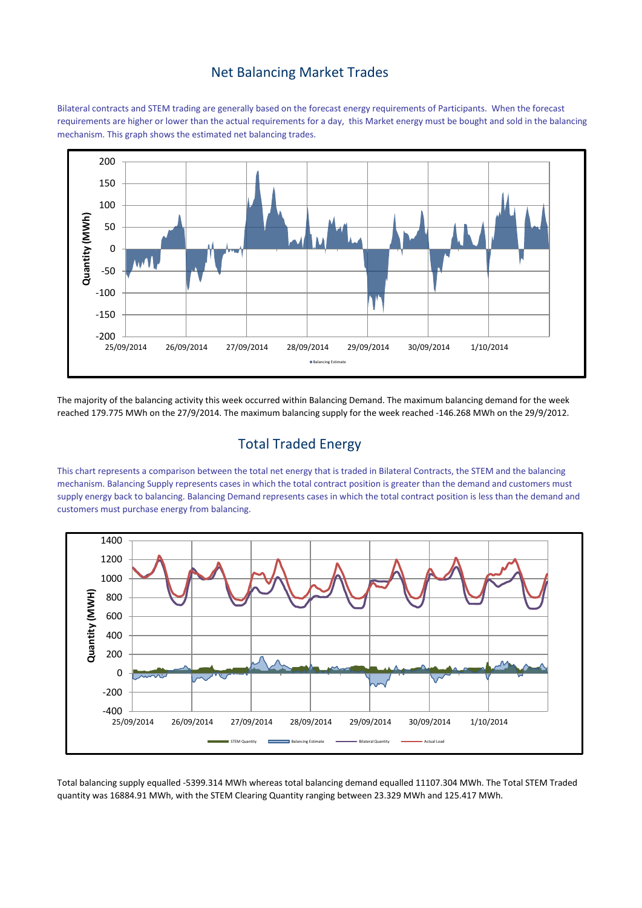#### Net Balancing Market Trades

Bilateral contracts and STEM trading are generally based on the forecast energy requirements of Participants. When the forecast requirements are higher or lower than the actual requirements for a day, this Market energy must be bought and sold in the balancing mechanism. This graph shows the estimated net balancing trades.



The majority of the balancing activity this week occurred within Balancing Demand. The maximum balancing demand for the week reached 179.775 MWh on the 27/9/2014. The maximum balancing supply for the week reached -146.268 MWh on the 29/9/2012.

# Total Traded Energy

This chart represents a comparison between the total net energy that is traded in Bilateral Contracts, the STEM and the balancing mechanism. Balancing Supply represents cases in which the total contract position is greater than the demand and customers must supply energy back to balancing. Balancing Demand represents cases in which the total contract position is less than the demand and customers must purchase energy from balancing.



Total balancing supply equalled -5399.314 MWh whereas total balancing demand equalled 11107.304 MWh. The Total STEM Traded quantity was 16884.91 MWh, with the STEM Clearing Quantity ranging between 23.329 MWh and 125.417 MWh.